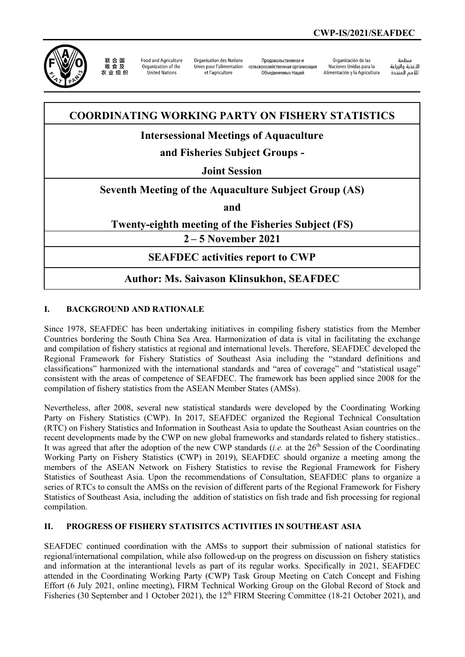

联合国 农业组织

**Food and Agriculture** Organization of the United Nations

Organisation des Nations Unies nour l'alimentation et l'agriculture

Продовольственная и сельскохозяйственная организация Объелиненных Наший

Organización de las Naciones Unidas para la Alimentación y la Agricultura

منظمة الأغذية والزراعة للأمم المتحدة

## **COORDINATING WORKING PARTY ON FISHERY STATISTICS**

# **Intersessional Meetings of Aquaculture**

# **and Fisheries Subject Groups -**

### **Joint Session**

#### **Seventh Meeting of the Aquaculture Subject Group (AS)**

**and**

### **Twenty-eighth meeting of the Fisheries Subject (FS)**

**2 – 5 November 2021**

### **SEAFDEC activities report to CWP**

## **Author: Ms. Saivason Klinsukhon, SEAFDEC**

#### **I. BACKGROUND AND RATIONALE**

Since 1978, SEAFDEC has been undertaking initiatives in compiling fishery statistics from the Member Countries bordering the South China Sea Area. Harmonization of data is vital in facilitating the exchange and compilation of fishery statistics at regional and international levels. Therefore, SEAFDEC developed the Regional Framework for Fishery Statistics of Southeast Asia including the "standard definitions and classifications" harmonized with the international standards and "area of coverage" and "statistical usage" consistent with the areas of competence of SEAFDEC. The framework has been applied since 2008 for the compilation of fishery statistics from the ASEAN Member States (AMSs).

Nevertheless, after 2008, several new statistical standards were developed by the Coordinating Working Party on Fishery Statistics (CWP). In 2017, SEAFDEC organized the Regional Technical Consultation (RTC) on Fishery Statistics and Information in Southeast Asia to update the Southeast Asian countries on the recent developments made by the CWP on new global frameworks and standards related to fishery statistics.. It was agreed that after the adoption of the new CWP standards (*i.e.* at the 26<sup>th</sup> Session of the Coordinating Working Party on Fishery Statistics (CWP) in 2019), SEAFDEC should organize a meeting among the members of the ASEAN Network on Fishery Statistics to revise the Regional Framework for Fishery Statistics of Southeast Asia. Upon the recommendations of Consultation, SEAFDEC plans to organize a series of RTCs to consult the AMSs on the revision of different parts of the Regional Framework for Fishery Statistics of Southeast Asia, including the addition of statistics on fish trade and fish processing for regional compilation.

#### **II. PROGRESS OF FISHERY STATISITCS ACTIVITIES IN SOUTHEAST ASIA**

SEAFDEC continued coordination with the AMSs to support their submission of national statistics for regional/international compilation, while also followed-up on the progress on discussion on fishery statistics and information at the interantional levels as part of its regular works. Specifically in 2021, SEAFDEC attended in the Coordinating Working Party (CWP) Task Group Meeting on Catch Concept and Fishing Effort (6 July 2021, online meeting), FIRM Technical Working Group on the Global Record of Stock and Fisheries (30 September and 1 October 2021), the 12<sup>th</sup> FIRM Steering Committee (18-21 October 2021), and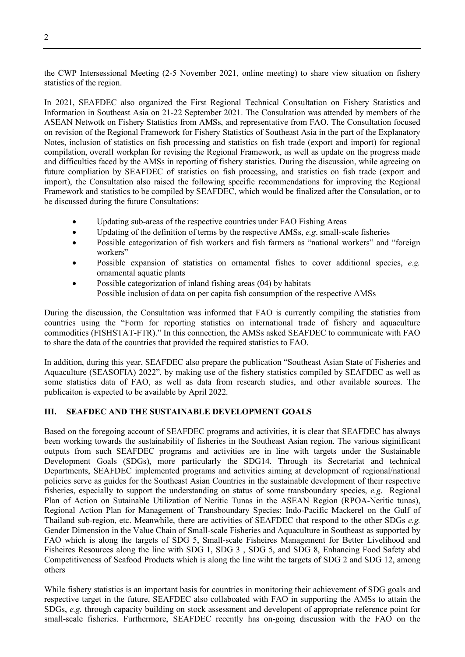the CWP Intersessional Meeting (2-5 November 2021, online meeting) to share view situation on fishery statistics of the region.

In 2021, SEAFDEC also organized the First Regional Technical Consultation on Fishery Statistics and Information in Southeast Asia on 21-22 September 2021. The Consultation was attended by members of the ASEAN Netwotk on Fishery Statistics from AMSs, and representative from FAO. The Consultation focused on revision of the Regional Framework for Fishery Statistics of Southeast Asia in the part of the Explanatory Notes, inclusion of statistics on fish processing and statistics on fish trade (export and import) for regional compilation, overall workplan for revising the Regional Framework, as well as update on the progress made and difficulties faced by the AMSs in reporting of fishery statistics. During the discussion, while agreeing on future compliation by SEAFDEC of statistics on fish processing, and statistics on fish trade (export and import), the Consultation also raised the following specific recommendations for improving the Regional Framework and statistics to be compiled by SEAFDEC, which would be finalized after the Consulation, or to be discussed during the future Consultations:

- Updating sub-areas of the respective countries under FAO Fishing Areas
- Updating of the definition of terms by the respective AMSs, *e.g*. small-scale fisheries
- Possible categorization of fish workers and fish farmers as "national workers" and "foreign workers"
- Possible expansion of statistics on ornamental fishes to cover additional species, *e.g.* ornamental aquatic plants
- Possible categorization of inland fishing areas (04) by habitats Possible inclusion of data on per capita fish consumption of the respective AMSs

During the discussion, the Consultation was informed that FAO is currently compiling the statistics from countries using the "Form for reporting statistics on international trade of fishery and aquaculture commodities (FISHSTAT-FTR)." In this connection, the AMSs asked SEAFDEC to communicate with FAO to share the data of the countries that provided the required statistics to FAO.

In addition, during this year, SEAFDEC also prepare the publication "Southeast Asian State of Fisheries and Aquaculture (SEASOFIA) 2022", by making use of the fishery statistics compiled by SEAFDEC as well as some statistics data of FAO, as well as data from research studies, and other available sources. The publicaiton is expected to be available by April 2022.

#### **III. SEAFDEC AND THE SUSTAINABLE DEVELOPMENT GOALS**

Based on the foregoing account of SEAFDEC programs and activities, it is clear that SEAFDEC has always been working towards the sustainability of fisheries in the Southeast Asian region. The various siginificant outputs from such SEAFDEC programs and activities are in line with targets under the Sustainable Development Goals (SDGs), more particularly the SDG14. Through its Secretariat and technical Departments, SEAFDEC implemented programs and activities aiming at development of regional/national policies serve as guides for the Southeast Asian Countries in the sustainable development of their respective fisheries, especially to support the understanding on status of some transboundary species, *e.g*. Regional Plan of Action on Sutainable Utilization of Neritic Tunas in the ASEAN Region (RPOA-Neritic tunas), Regional Action Plan for Management of Transboundary Species: Indo-Pacific Mackerel on the Gulf of Thailand sub-region, etc. Meanwhile, there are activities of SEAFDEC that respond to the other SDGs *e.g.*  Gender Dimension in the Value Chain of Small-scale Fisheries and Aquaculture in Southeast as supported by FAO which is along the targets of SDG 5, Small-scale Fisheires Management for Better Livelihood and Fisheires Resources along the line with SDG 1, SDG 3 , SDG 5, and SDG 8, Enhancing Food Safety abd Competitiveness of Seafood Products which is along the line wiht the targets of SDG 2 and SDG 12, among others

While fishery statistics is an important basis for countries in monitoring their achievement of SDG goals and respective target in the future, SEAFDEC also collaboated with FAO in supporting the AMSs to attain the SDGs, *e.g.* through capacity building on stock assessment and developent of appropriate reference point for small-scale fisheries. Furthermore, SEAFDEC recently has on-going discussion with the FAO on the